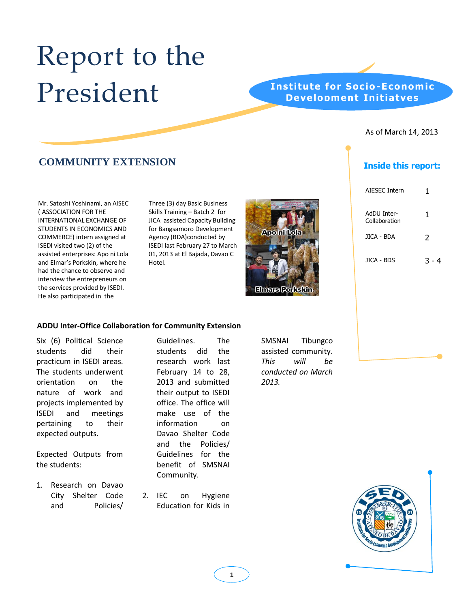# Report to the President

## **Institute for Socio-Economic Development Initiatves**

#### As of March 14, 2013

# **COMMUNITY EXTENSION Inside this report:**

Mr. Satoshi Yoshinami, an AISEC ( ASSOCIATION FOR THE INTERNATIONAL EXCHANGE OF STUDENTS IN ECONOMICS AND COMMERCE) intern assigned at ISEDI visited two (2) of the assisted enterprises: Apo ni Lola and Elmar's Porkskin, where he had the chance to observe and interview the entrepreneurs on the services provided by ISEDI. He also participated in the

Three (3) day Basic Business Skills Training – Batch 2 for JICA assisted Capacity Building for Bangsamoro Development Agency (BDA)conducted by ISEDI last February 27 to March 01, 2013 at El Bajada, Davao C Hotel.



| AIESEC Intern                | 1     |
|------------------------------|-------|
| AdDU Inter-<br>Collaboration | 1     |
| JICA - BDA                   | 2     |
| JICA - BDS                   | २ - 4 |

#### **ADDU Inter-Office Collaboration for Community Extension**

Six (6) Political Science students did their practicum in ISEDI areas. The students underwent orientation on the nature of work and projects implemented by ISEDI and meetings pertaining to their expected outputs.

Expected Outputs from the students:

1. Research on Davao City Shelter Code and Policies/ Guidelines. The students did the research work last February 14 to 28, 2013 and submitted their output to ISEDI office. The office will make use of the information on Davao Shelter Code and the Policies/ Guidelines for the benefit of SMSNAI Community.

2. IEC on Hygiene Education for Kids in SMSNAI Tibungco assisted community. *This will be conducted on March 2013.*

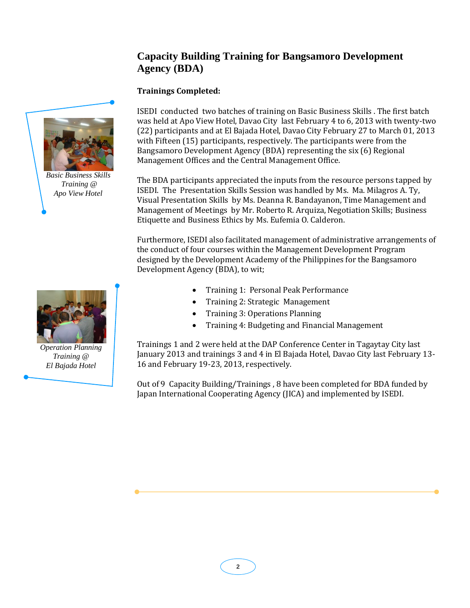# **Capacity Building Training for Bangsamoro Development Agency (BDA)**

### **Trainings Completed:**

ISEDI conducted two batches of training on Basic Business Skills . The first batch was held at Apo View Hotel, Davao City last February 4 to 6, 2013 with twenty-two (22) participants and at El Bajada Hotel, Davao City February 27 to March 01, 2013 with Fifteen (15) participants, respectively. The participants were from the Bangsamoro Development Agency (BDA) representing the six (6) Regional Management Offices and the Central Management Office.

The BDA participants appreciated the inputs from the resource persons tapped by ISEDI. The Presentation Skills Session was handled by Ms. Ma. Milagros A. Ty, Visual Presentation Skills by Ms. Deanna R. Bandayanon, Time Management and Management of Meetings by Mr. Roberto R. Arquiza, Negotiation Skills; Business Etiquette and Business Ethics by Ms. Eufemia O. Calderon.

Furthermore, ISEDI also facilitated management of administrative arrangements of the conduct of four courses within the Management Development Program designed by the Development Academy of the Philippines for the Bangsamoro Development Agency (BDA), to wit;

- Training 1: Personal Peak Performance
- Training 2: Strategic Management
- Training 3: Operations Planning
- Training 4: Budgeting and Financial Management

Trainings 1 and 2 were held at the DAP Conference Center in Tagaytay City last January 2013 and trainings 3 and 4 in El Bajada Hotel, Davao City last February 13- 16 and February 19-23, 2013, respectively.

Out of 9 Capacity Building/Trainings , 8 have been completed for BDA funded by Japan International Cooperating Agency (JICA) and implemented by ISEDI.



*Basic Business Skills Training @ Apo View Hotel*



*Operation Planning Training @ El Bajada Hotel*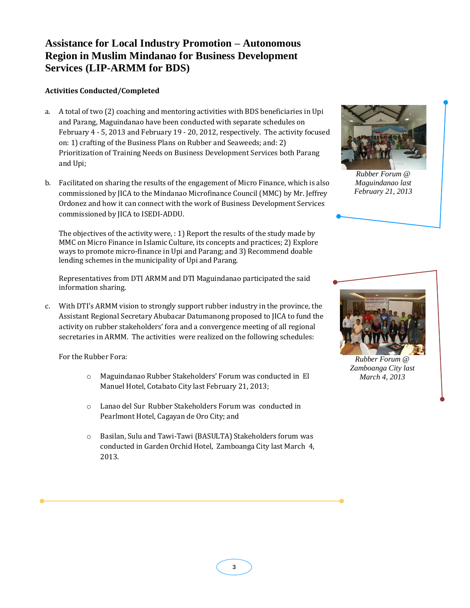# **Assistance for Local Industry Promotion – Autonomous Region in Muslim Mindanao for Business Development Services (LIP-ARMM for BDS)**

#### **Activities Conducted/Completed**

- a. A total of two (2) coaching and mentoring activities with BDS beneficiaries in Upi and Parang, Maguindanao have been conducted with separate schedules on February 4 - 5, 2013 and February 19 - 20, 2012, respectively. The activity focused on: 1) crafting of the Business Plans on Rubber and Seaweeds; and: 2) Prioritization of Training Needs on Business Development Services both Parang and Upi;
- b. Facilitated on sharing the results of the engagement of Micro Finance, which is also commissioned by JICA to the Mindanao Microfinance Council (MMC) by Mr. Jeffrey Ordonez and how it can connect with the work of Business Development Services commissioned by JICA to ISEDI-ADDU.

The objectives of the activity were, : 1) Report the results of the study made by MMC on Micro Finance in Islamic Culture, its concepts and practices; 2) Explore ways to promote micro-finance in Upi and Parang; and 3) Recommend doable lending schemes in the municipality of Upi and Parang.

Representatives from DTI ARMM and DTI Maguindanao participated the said information sharing.

c. With DTI's ARMM vision to strongly support rubber industry in the province, the Assistant Regional Secretary Abubacar Datumanong proposed to JICA to fund the activity on rubber stakeholders' fora and a convergence meeting of all regional secretaries in ARMM. The activities were realized on the following schedules:

For the Rubber Fora:

- o Maguindanao Rubber Stakeholders' Forum was conducted in El Manuel Hotel, Cotabato City last February 21, 2013;
- o Lanao del Sur Rubber Stakeholders Forum was conducted in Pearlmont Hotel, Cagayan de Oro City; and
- o Basilan, Sulu and Tawi-Tawi (BASULTA) Stakeholders forum was conducted in Garden Orchid Hotel, Zamboanga City last March 4, 2013.



*Rubber Forum @ Maguindanao last February 21, 2013*



*Rubber Forum @ Zamboanga City last March 4, 2013*